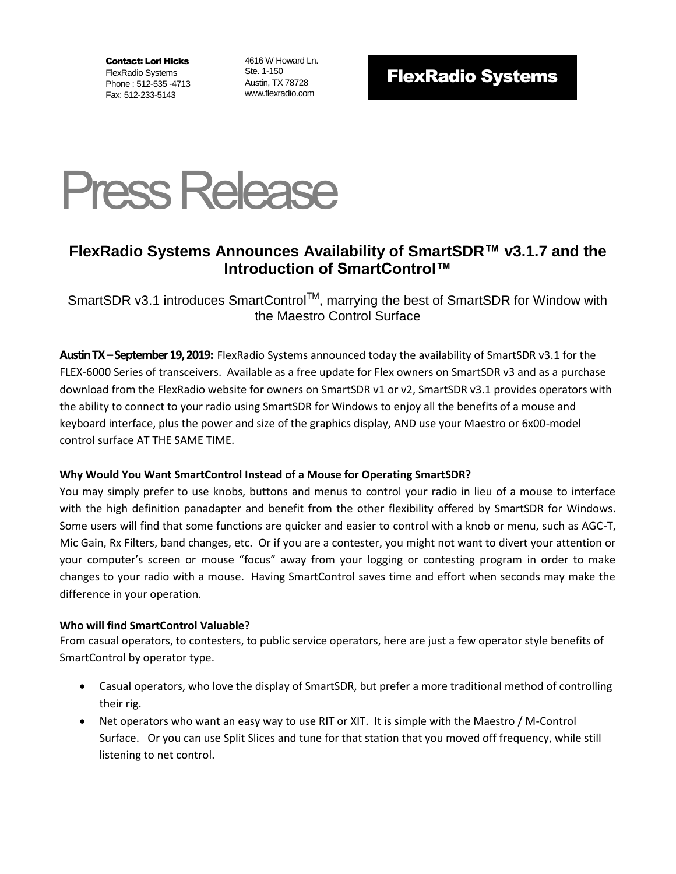Contact: Lori Hicks FlexRadio Systems Phone : 512-535 -4713 Fax: 512-233-5143

4616 W Howard Ln. Ste. 1-150 Austin, TX 78728 www.flexradio.com

# FlexRadio Systems



### **FlexRadio Systems Announces Availability of SmartSDR™ v3.1.7 and the Introduction of SmartControl™**

SmartSDR v3.1 introduces SmartControl<sup>™</sup>, marrying the best of SmartSDR for Window with the Maestro Control Surface

**Austin TX–September 19,2019:** FlexRadio Systems announced today the availability of SmartSDR v3.1 for the FLEX-6000 Series of transceivers. Available as a free update for Flex owners on SmartSDR v3 and as a purchase download from the FlexRadio website for owners on SmartSDR v1 or v2, SmartSDR v3.1 provides operators with the ability to connect to your radio using SmartSDR for Windows to enjoy all the benefits of a mouse and keyboard interface, plus the power and size of the graphics display, AND use your Maestro or 6x00-model control surface AT THE SAME TIME.

### **Why Would You Want SmartControl Instead of a Mouse for Operating SmartSDR?**

You may simply prefer to use knobs, buttons and menus to control your radio in lieu of a mouse to interface with the high definition panadapter and benefit from the other flexibility offered by SmartSDR for Windows. Some users will find that some functions are quicker and easier to control with a knob or menu, such as AGC-T, Mic Gain, Rx Filters, band changes, etc. Or if you are a contester, you might not want to divert your attention or your computer's screen or mouse "focus" away from your logging or contesting program in order to make changes to your radio with a mouse. Having SmartControl saves time and effort when seconds may make the difference in your operation.

#### **Who will find SmartControl Valuable?**

From casual operators, to contesters, to public service operators, here are just a few operator style benefits of SmartControl by operator type.

- Casual operators, who love the display of SmartSDR, but prefer a more traditional method of controlling their rig.
- Net operators who want an easy way to use RIT or XIT. It is simple with the Maestro / M-Control Surface. Or you can use Split Slices and tune for that station that you moved off frequency, while still listening to net control.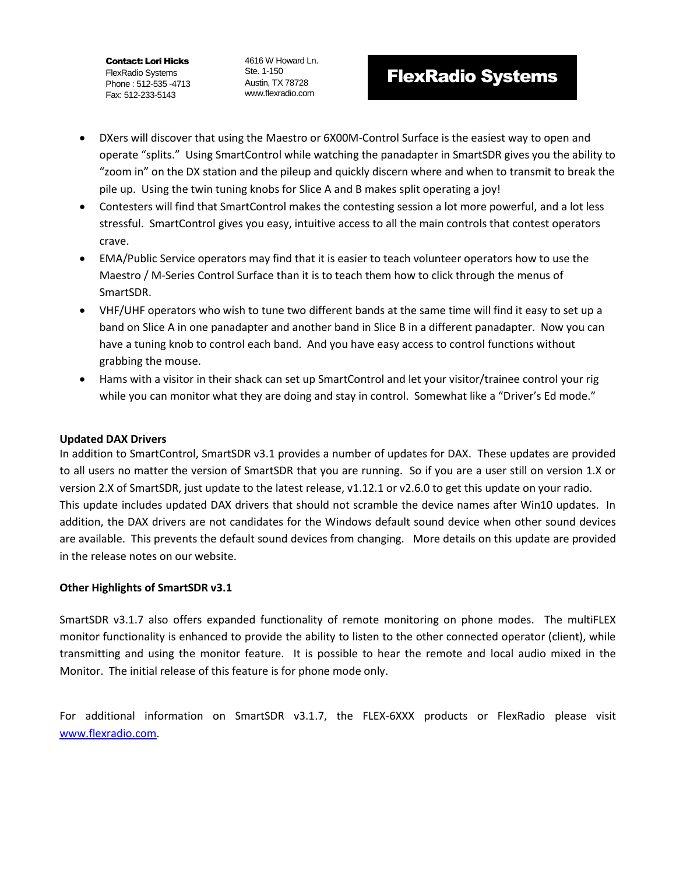Contact: Lori Hicks FlexRadio Systems Phone : 512-535 -4713 Fax: 512-233-5143

4616 W Howard Ln. Ste. 1-150 Austin, TX 78728 www.flexradio.com

## FlexRadio Systems

- DXers will discover that using the Maestro or 6X00M-Control Surface is the easiest way to open and operate "splits." Using SmartControl while watching the panadapter in SmartSDR gives you the ability to "zoom in" on the DX station and the pileup and quickly discern where and when to transmit to break the pile up. Using the twin tuning knobs for Slice A and B makes split operating a joy!
- Contesters will find that SmartControl makes the contesting session a lot more powerful, and a lot less stressful. SmartControl gives you easy, intuitive access to all the main controls that contest operators crave.
- EMA/Public Service operators may find that it is easier to teach volunteer operators how to use the Maestro / M-Series Control Surface than it is to teach them how to click through the menus of SmartSDR.
- VHF/UHF operators who wish to tune two different bands at the same time will find it easy to set up a band on Slice A in one panadapter and another band in Slice B in a different panadapter. Now you can have a tuning knob to control each band. And you have easy access to control functions without grabbing the mouse.
- Hams with a visitor in their shack can set up SmartControl and let your visitor/trainee control your rig while you can monitor what they are doing and stay in control. Somewhat like a "Driver's Ed mode."

### **Updated DAX Drivers**

In addition to SmartControl, SmartSDR v3.1 provides a number of updates for DAX. These updates are provided to all users no matter the version of SmartSDR that you are running. So if you are a user still on version 1.X or version 2.X of SmartSDR, just update to the latest release, v1.12.1 or v2.6.0 to get this update on your radio. This update includes updated DAX drivers that should not scramble the device names after Win10 updates. In addition, the DAX drivers are not candidates for the Windows default sound device when other sound devices are available. This prevents the default sound devices from changing. More details on this update are provided in the release notes on our website.

### **Other Highlights of SmartSDR v3.1**

SmartSDR v3.1.7 also offers expanded functionality of remote monitoring on phone modes. The multiFLEX monitor functionality is enhanced to provide the ability to listen to the other connected operator (client), while transmitting and using the monitor feature. It is possible to hear the remote and local audio mixed in the Monitor. The initial release of this feature is for phone mode only.

For additional information on SmartSDR v3.1.7, the FLEX-6XXX products or FlexRadio please visit [www.flexradio.com.](http://www.flexradio.com/)